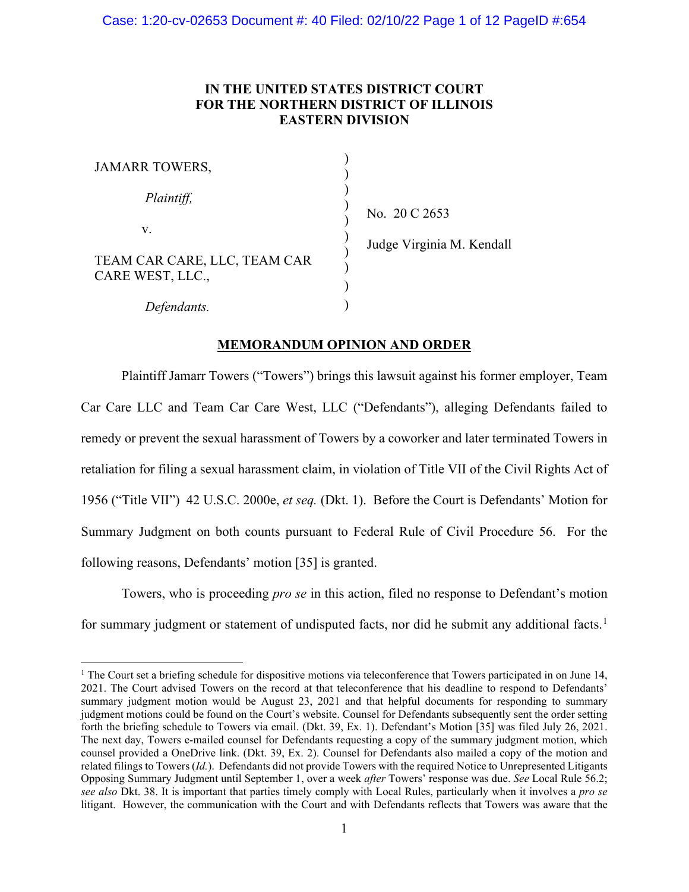# **IN THE UNITED STATES DISTRICT COURT FOR THE NORTHERN DISTRICT OF ILLINOIS EASTERN DIVISION**

| <b>JAMARR TOWERS,</b>                            |  |
|--------------------------------------------------|--|
| Plaintiff,                                       |  |
| V.                                               |  |
| TEAM CAR CARE, LLC, TEAM CAR<br>CARE WEST, LLC., |  |
| Defendants.                                      |  |

No. 20 C 2653

Judge Virginia M. Kendall

# **MEMORANDUM OPINION AND ORDER**

Plaintiff Jamarr Towers ("Towers") brings this lawsuit against his former employer, Team Car Care LLC and Team Car Care West, LLC ("Defendants"), alleging Defendants failed to remedy or prevent the sexual harassment of Towers by a coworker and later terminated Towers in retaliation for filing a sexual harassment claim, in violation of Title VII of the Civil Rights Act of 1956 ("Title VII") 42 [U.S.C.](https://1.next.westlaw.com/Link/Document/FullText?findType=L&pubNum=1000546&cite=42USCAS2000E&originatingDoc=I2118c430057011eca252cc4b553ce53c&refType=LQ&originationContext=document&transitionType=DocumentItem&ppcid=73ef4e1bdeca46e78d39e1070406f721&contextData=(sc.Search)) 2000e, *et seq.* (Dkt. 1). Before the Court is Defendants' Motion for Summary Judgment on both counts pursuant to Federal Rule of Civil Procedure 56. For the following reasons, Defendants' motion [35] is granted.

Towers, who is proceeding *pro se* in this action, filed no response to Defendant's motion for summary judgment or statement of undisputed facts, nor did he submit any additional facts.<sup>[1](#page-0-0)</sup>

<span id="page-0-0"></span><sup>&</sup>lt;sup>1</sup> The Court set a briefing schedule for dispositive motions via teleconference that Towers participated in on June 14, 2021. The Court advised Towers on the record at that teleconference that his deadline to respond to Defendants' summary judgment motion would be August 23, 2021 and that helpful documents for responding to summary judgment motions could be found on the Court's website. Counsel for Defendants subsequently sent the order setting forth the briefing schedule to Towers via email. (Dkt. 39, Ex. 1). Defendant's Motion [35] was filed July 26, 2021. The next day, Towers e-mailed counsel for Defendants requesting a copy of the summary judgment motion, which counsel provided a OneDrive link. (Dkt. 39, Ex. 2). Counsel for Defendants also mailed a copy of the motion and related filings to Towers (*Id.*). Defendants did not provide Towers with the required Notice to Unrepresented Litigants Opposing Summary Judgment until September 1, over a week *after* Towers' response was due. *See* Local Rule 56.2; *see also* Dkt. 38. It is important that parties timely comply with Local Rules, particularly when it involves a *pro se* litigant. However, the communication with the Court and with Defendants reflects that Towers was aware that the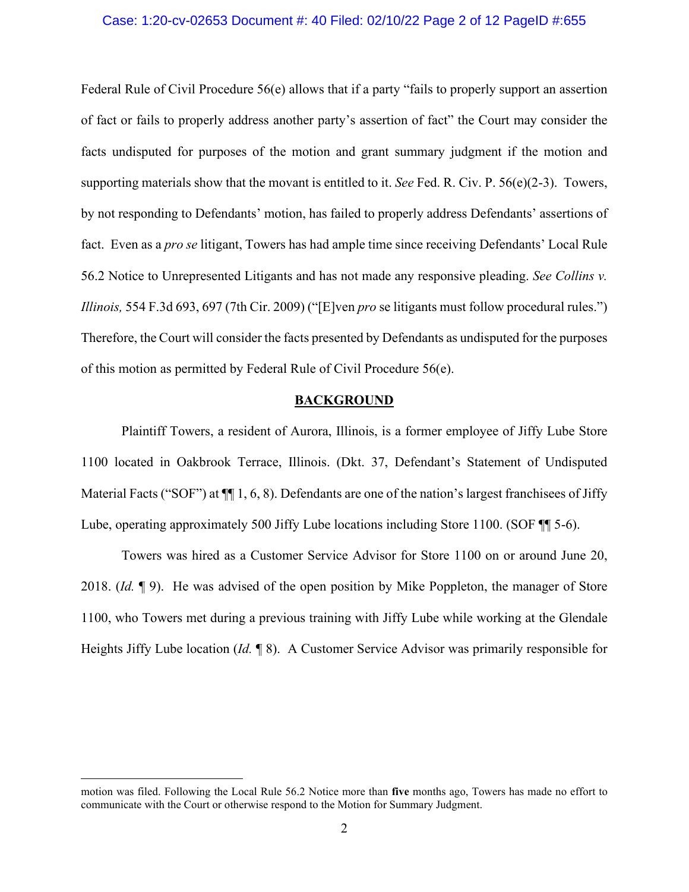# Case: 1:20-cv-02653 Document #: 40 Filed: 02/10/22 Page 2 of 12 PageID #:655

Federal Rule of Civil Procedure 56(e) allows that if a party "fails to properly support an assertion of fact or fails to properly address another party's assertion of fact" the Court may consider the facts undisputed for purposes of the motion and grant summary judgment if the motion and supporting materials show that the movant is entitled to it. *See* Fed. R. Civ. P. 56(e)(2-3). Towers, by not responding to Defendants' motion, has failed to properly address Defendants' assertions of fact. Even as a *pro se* litigant, Towers has had ample time since receiving Defendants' Local Rule 56.2 Notice to Unrepresented Litigants and has not made any responsive pleading. *See Collins v. Illinois,* 554 F.3d 693, 697 (7th Cir. 2009) ("[E]ven *pro* se litigants must follow procedural rules.") Therefore, the Court will consider the facts presented by Defendants as undisputed for the purposes of this motion as permitted by Federal Rule of Civil Procedure 56(e).

# **BACKGROUND**

Plaintiff Towers, a resident of Aurora, Illinois, is a former employee of Jiffy Lube Store 1100 located in Oakbrook Terrace, Illinois. (Dkt. 37, Defendant's Statement of Undisputed Material Facts ("SOF") at  $\P$ [1, 6, 8). Defendants are one of the nation's largest franchisees of Jiffy Lube, operating approximately 500 Jiffy Lube locations including Store 1100. (SOF  $\P$  5-6).

Towers was hired as a Customer Service Advisor for Store 1100 on or around June 20, 2018. (*Id.* ¶ 9). He was advised of the open position by Mike Poppleton, the manager of Store 1100, who Towers met during a previous training with Jiffy Lube while working at the Glendale Heights Jiffy Lube location (*Id.* ¶ 8). A Customer Service Advisor was primarily responsible for

motion was filed. Following the Local Rule 56.2 Notice more than **five** months ago, Towers has made no effort to communicate with the Court or otherwise respond to the Motion for Summary Judgment.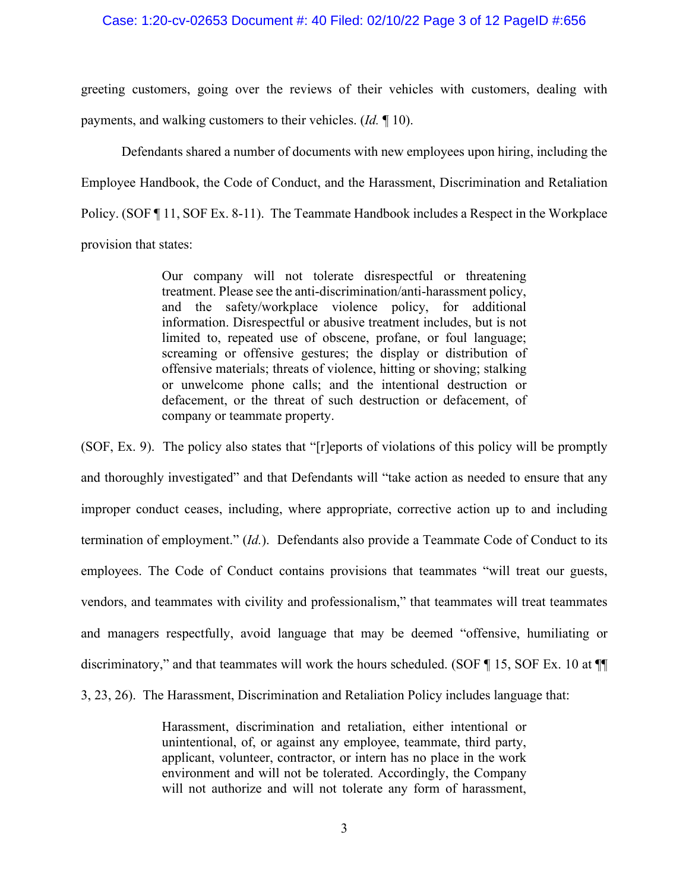# Case: 1:20-cv-02653 Document #: 40 Filed: 02/10/22 Page 3 of 12 PageID #:656

greeting customers, going over the reviews of their vehicles with customers, dealing with payments, and walking customers to their vehicles. (*Id.* ¶ 10).

Defendants shared a number of documents with new employees upon hiring, including the Employee Handbook, the Code of Conduct, and the Harassment, Discrimination and Retaliation Policy. (SOF ¶ 11, SOF Ex. 8-11). The Teammate Handbook includes a Respect in the Workplace provision that states:

> Our company will not tolerate disrespectful or threatening treatment. Please see the anti-discrimination/anti-harassment policy, and the safety/workplace violence policy, for additional information. Disrespectful or abusive treatment includes, but is not limited to, repeated use of obscene, profane, or foul language; screaming or offensive gestures; the display or distribution of offensive materials; threats of violence, hitting or shoving; stalking or unwelcome phone calls; and the intentional destruction or defacement, or the threat of such destruction or defacement, of company or teammate property.

(SOF, Ex. 9). The policy also states that "[r]eports of violations of this policy will be promptly and thoroughly investigated" and that Defendants will "take action as needed to ensure that any improper conduct ceases, including, where appropriate, corrective action up to and including termination of employment." (*Id.*). Defendants also provide a Teammate Code of Conduct to its employees. The Code of Conduct contains provisions that teammates "will treat our guests, vendors, and teammates with civility and professionalism," that teammates will treat teammates and managers respectfully, avoid language that may be deemed "offensive, humiliating or discriminatory," and that teammates will work the hours scheduled. (SOF ¶ 15, SOF Ex. 10 at ¶¶ 3, 23, 26). The Harassment, Discrimination and Retaliation Policy includes language that:

> Harassment, discrimination and retaliation, either intentional or unintentional, of, or against any employee, teammate, third party, applicant, volunteer, contractor, or intern has no place in the work environment and will not be tolerated. Accordingly, the Company will not authorize and will not tolerate any form of harassment,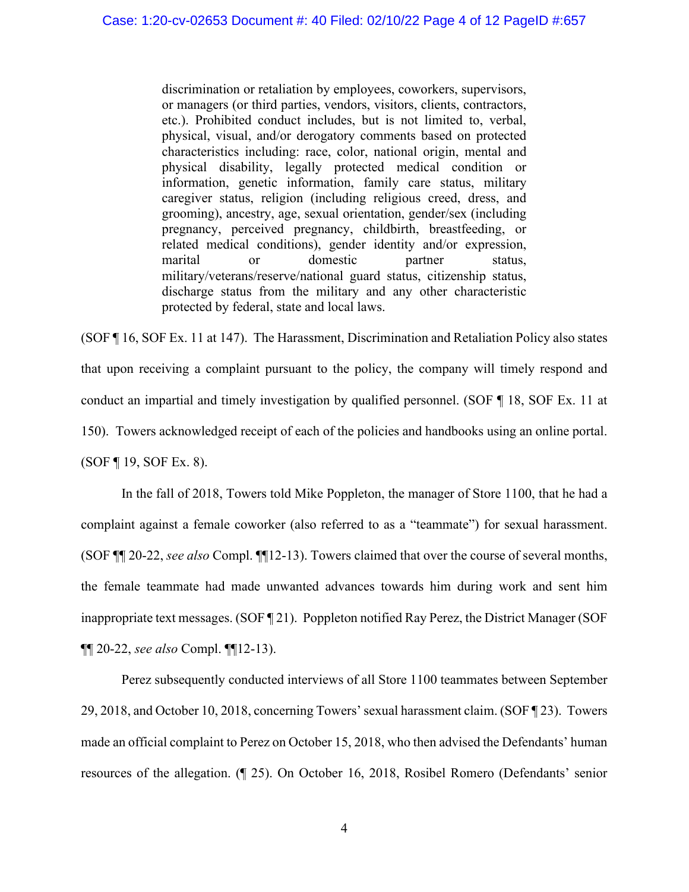discrimination or retaliation by employees, coworkers, supervisors, or managers (or third parties, vendors, visitors, clients, contractors, etc.). Prohibited conduct includes, but is not limited to, verbal, physical, visual, and/or derogatory comments based on protected characteristics including: race, color, national origin, mental and physical disability, legally protected medical condition or information, genetic information, family care status, military caregiver status, religion (including religious creed, dress, and grooming), ancestry, age, sexual orientation, gender/sex (including pregnancy, perceived pregnancy, childbirth, breastfeeding, or related medical conditions), gender identity and/or expression, marital or domestic partner status, military/veterans/reserve/national guard status, citizenship status, discharge status from the military and any other characteristic protected by federal, state and local laws.

(SOF ¶ 16, SOF Ex. 11 at 147). The Harassment, Discrimination and Retaliation Policy also states that upon receiving a complaint pursuant to the policy, the company will timely respond and conduct an impartial and timely investigation by qualified personnel. (SOF ¶ 18, SOF Ex. 11 at 150). Towers acknowledged receipt of each of the policies and handbooks using an online portal. (SOF ¶ 19, SOF Ex. 8).

In the fall of 2018, Towers told Mike Poppleton, the manager of Store 1100, that he had a complaint against a female coworker (also referred to as a "teammate") for sexual harassment. (SOF ¶¶ 20-22, *see also* Compl. ¶¶12-13). Towers claimed that over the course of several months, the female teammate had made unwanted advances towards him during work and sent him inappropriate text messages. (SOF ¶ 21). Poppleton notified Ray Perez, the District Manager (SOF ¶¶ 20-22, *see also* Compl. ¶¶12-13).

Perez subsequently conducted interviews of all Store 1100 teammates between September 29, 2018, and October 10, 2018, concerning Towers' sexual harassment claim. (SOF ¶ 23). Towers made an official complaint to Perez on October 15, 2018, who then advised the Defendants' human resources of the allegation. (¶ 25). On October 16, 2018, Rosibel Romero (Defendants' senior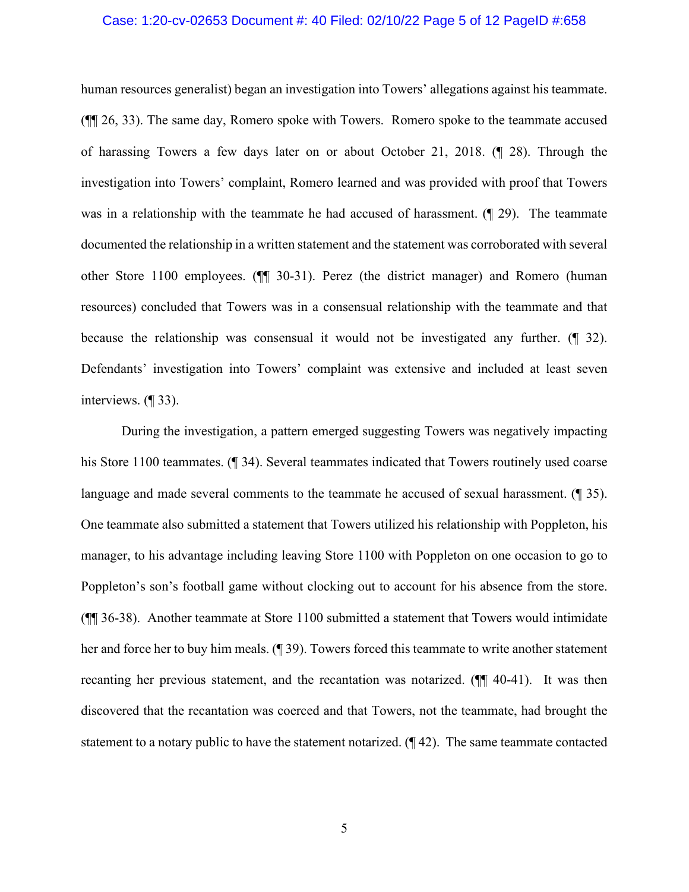# Case: 1:20-cv-02653 Document #: 40 Filed: 02/10/22 Page 5 of 12 PageID #:658

human resources generalist) began an investigation into Towers' allegations against his teammate. (¶¶ 26, 33). The same day, Romero spoke with Towers. Romero spoke to the teammate accused of harassing Towers a few days later on or about October 21, 2018. (¶ 28). Through the investigation into Towers' complaint, Romero learned and was provided with proof that Towers was in a relationship with the teammate he had accused of harassment. ( $\lll$  29). The teammate documented the relationship in a written statement and the statement was corroborated with several other Store 1100 employees. (¶¶ 30-31). Perez (the district manager) and Romero (human resources) concluded that Towers was in a consensual relationship with the teammate and that because the relationship was consensual it would not be investigated any further. (¶ 32). Defendants' investigation into Towers' complaint was extensive and included at least seven interviews. (¶ 33).

During the investigation, a pattern emerged suggesting Towers was negatively impacting his Store 1100 teammates. (¶ 34). Several teammates indicated that Towers routinely used coarse language and made several comments to the teammate he accused of sexual harassment. (¶ 35). One teammate also submitted a statement that Towers utilized his relationship with Poppleton, his manager, to his advantage including leaving Store 1100 with Poppleton on one occasion to go to Poppleton's son's football game without clocking out to account for his absence from the store. (¶¶ 36-38). Another teammate at Store 1100 submitted a statement that Towers would intimidate her and force her to buy him meals. (¶ 39). Towers forced this teammate to write another statement recanting her previous statement, and the recantation was notarized. (¶¶ 40-41). It was then discovered that the recantation was coerced and that Towers, not the teammate, had brought the statement to a notary public to have the statement notarized. (¶ 42). The same teammate contacted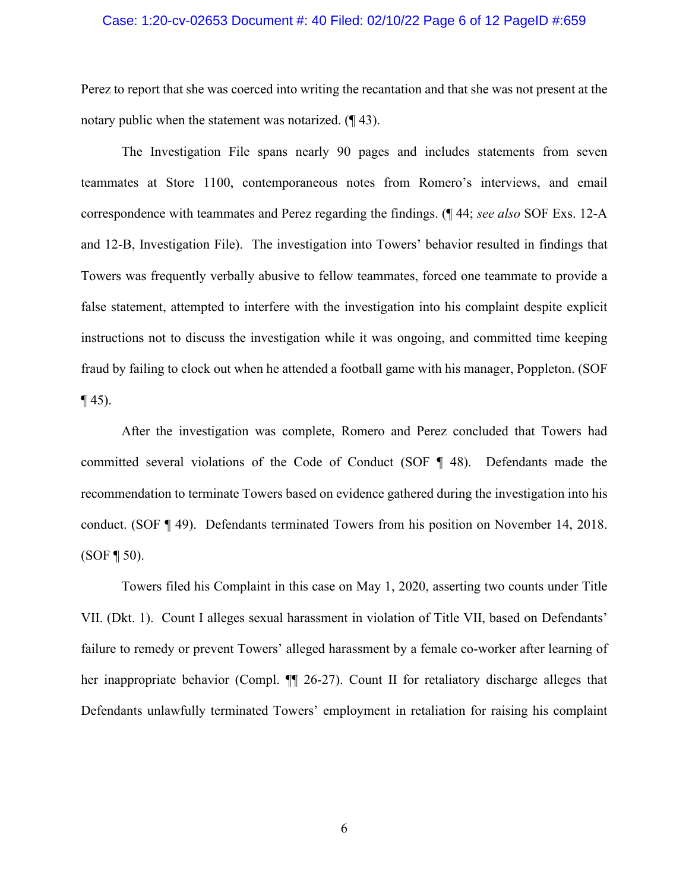## Case: 1:20-cv-02653 Document #: 40 Filed: 02/10/22 Page 6 of 12 PageID #:659

Perez to report that she was coerced into writing the recantation and that she was not present at the notary public when the statement was notarized. (¶ 43).

The Investigation File spans nearly 90 pages and includes statements from seven teammates at Store 1100, contemporaneous notes from Romero's interviews, and email correspondence with teammates and Perez regarding the findings. (¶ 44; *see also* SOF Exs. 12-A and 12-B, Investigation File). The investigation into Towers' behavior resulted in findings that Towers was frequently verbally abusive to fellow teammates, forced one teammate to provide a false statement, attempted to interfere with the investigation into his complaint despite explicit instructions not to discuss the investigation while it was ongoing, and committed time keeping fraud by failing to clock out when he attended a football game with his manager, Poppleton. (SOF  $\P$  45).

After the investigation was complete, Romero and Perez concluded that Towers had committed several violations of the Code of Conduct (SOF ¶ 48). Defendants made the recommendation to terminate Towers based on evidence gathered during the investigation into his conduct. (SOF ¶ 49). Defendants terminated Towers from his position on November 14, 2018.  $(SOF \, 150)$ .

Towers filed his Complaint in this case on May 1, 2020, asserting two counts under Title VII. (Dkt. 1). Count I alleges sexual harassment in violation of Title VII, based on Defendants' failure to remedy or prevent Towers' alleged harassment by a female co-worker after learning of her inappropriate behavior (Compl. ¶¶ 26-27). Count II for retaliatory discharge alleges that Defendants unlawfully terminated Towers' employment in retaliation for raising his complaint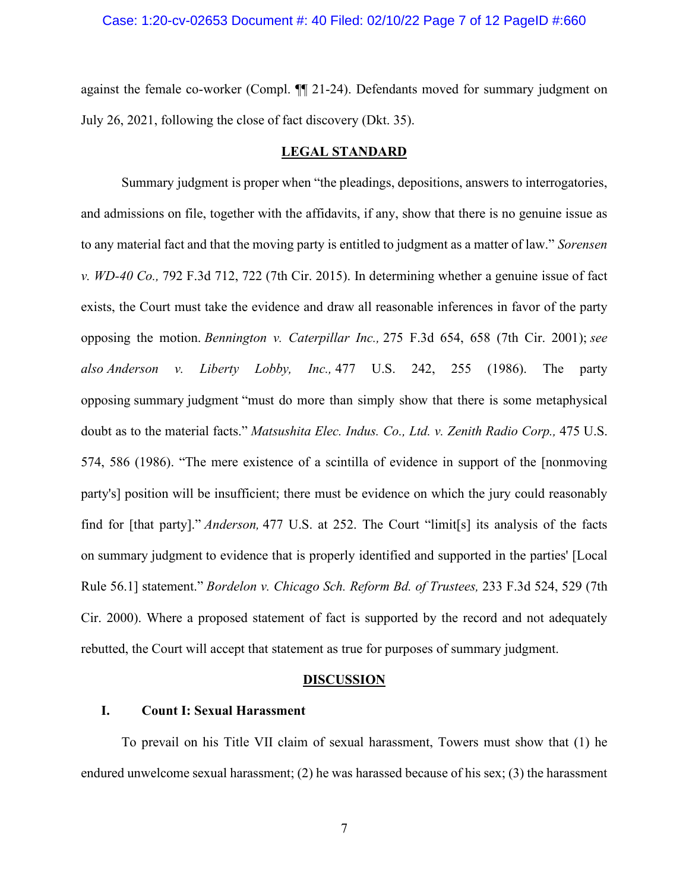## Case: 1:20-cv-02653 Document #: 40 Filed: 02/10/22 Page 7 of 12 PageID #:660

against the female co-worker (Compl. ¶¶ 21-24). Defendants moved for summary judgment on July 26, 2021, following the close of fact discovery (Dkt. 35).

# **LEGAL STANDARD**

Summary judgment is proper when "the pleadings, depositions, answers to interrogatories, and admissions on file, together with the affidavits, if any, show that there is no genuine issue as to any material fact and that the moving party is entitled to judgment as a matter of law." *[Sorensen](https://1.next.westlaw.com/Link/Document/FullText?findType=Y&serNum=2036438458&pubNum=0000506&originatingDoc=I3318b630512811e98335c7ebe72735f9&refType=RP&fi=co_pp_sp_506_722&originationContext=document&transitionType=DocumentItem&ppcid=fc5a12aab23344cea9ef81a5852468da&contextData=(sc.Search)#co_pp_sp_506_722) v. [WD-40](https://1.next.westlaw.com/Link/Document/FullText?findType=Y&serNum=2036438458&pubNum=0000506&originatingDoc=I3318b630512811e98335c7ebe72735f9&refType=RP&fi=co_pp_sp_506_722&originationContext=document&transitionType=DocumentItem&ppcid=fc5a12aab23344cea9ef81a5852468da&contextData=(sc.Search)#co_pp_sp_506_722) Co.,* 792 F.3d 712, 722 (7th Cir. 2015). In determining whether a genuine issue of fact exists, the Court must take the evidence and draw all reasonable inferences in favor of the party opposing the motion. *[Bennington](https://1.next.westlaw.com/Link/Document/FullText?findType=Y&serNum=2001590876&pubNum=0000506&originatingDoc=I3318b630512811e98335c7ebe72735f9&refType=RP&fi=co_pp_sp_506_658&originationContext=document&transitionType=DocumentItem&ppcid=fc5a12aab23344cea9ef81a5852468da&contextData=(sc.Search)#co_pp_sp_506_658) v. Caterpillar Inc.,* 275 F.3d 654, 658 (7th Cir. 2001); *see also [Anderson](https://1.next.westlaw.com/Link/Document/FullText?findType=Y&serNum=1986132674&pubNum=0000780&originatingDoc=I3318b630512811e98335c7ebe72735f9&refType=RP&fi=co_pp_sp_780_255&originationContext=document&transitionType=DocumentItem&ppcid=fc5a12aab23344cea9ef81a5852468da&contextData=(sc.Search)#co_pp_sp_780_255) v. Liberty Lobby, Inc.,* 477 U.S. 242, 255 (1986). The party opposing summary judgment "must do more than simply show that there is some metaphysical doubt as to the material facts." *[Matsushita](https://1.next.westlaw.com/Link/Document/FullText?findType=Y&serNum=1986115992&pubNum=0000780&originatingDoc=I3318b630512811e98335c7ebe72735f9&refType=RP&fi=co_pp_sp_780_586&originationContext=document&transitionType=DocumentItem&ppcid=fc5a12aab23344cea9ef81a5852468da&contextData=(sc.Search)#co_pp_sp_780_586) Elec. Indus. Co., Ltd. v. Zenith Radio Corp.,* 475 U.S. 574, 586 [\(1986\).](https://1.next.westlaw.com/Link/Document/FullText?findType=Y&serNum=1986115992&pubNum=0000780&originatingDoc=I3318b630512811e98335c7ebe72735f9&refType=RP&fi=co_pp_sp_780_586&originationContext=document&transitionType=DocumentItem&ppcid=fc5a12aab23344cea9ef81a5852468da&contextData=(sc.Search)#co_pp_sp_780_586) "The mere existence of a scintilla of evidence in support of the [nonmoving party's] position will be insufficient; there must be evidence on which the jury could reasonably find for [that party]." *[Anderson,](https://1.next.westlaw.com/Link/Document/FullText?findType=Y&serNum=1986132674&pubNum=0000780&originatingDoc=I3318b630512811e98335c7ebe72735f9&refType=RP&fi=co_pp_sp_780_252&originationContext=document&transitionType=DocumentItem&ppcid=fc5a12aab23344cea9ef81a5852468da&contextData=(sc.Search)#co_pp_sp_780_252)* 477 U.S. at 252. The Court "limit[s] its analysis of the facts on summary judgment to evidence that is properly identified and supported in the parties' [Local Rule 56.1] statement." *[Bordelon](https://1.next.westlaw.com/Link/Document/FullText?findType=Y&serNum=2000611259&pubNum=0000506&originatingDoc=I3318b630512811e98335c7ebe72735f9&refType=RP&fi=co_pp_sp_506_529&originationContext=document&transitionType=DocumentItem&ppcid=fc5a12aab23344cea9ef81a5852468da&contextData=(sc.Search)#co_pp_sp_506_529) v. Chicago Sch. Reform Bd. of Trustees,* 233 F.3d 524, 529 (7th Cir. [2000\).](https://1.next.westlaw.com/Link/Document/FullText?findType=Y&serNum=2000611259&pubNum=0000506&originatingDoc=I3318b630512811e98335c7ebe72735f9&refType=RP&fi=co_pp_sp_506_529&originationContext=document&transitionType=DocumentItem&ppcid=fc5a12aab23344cea9ef81a5852468da&contextData=(sc.Search)#co_pp_sp_506_529) Where a proposed statement of fact is supported by the record and not adequately rebutted, the Court will accept that statement as true for purposes of summary judgment.

#### **DISCUSSION**

# **I. Count I: Sexual Harassment**

To prevail on his Title VII claim of sexual harassment, Towers must show that (1) he endured unwelcome sexual harassment; (2) he was harassed because of his sex; (3) the harassment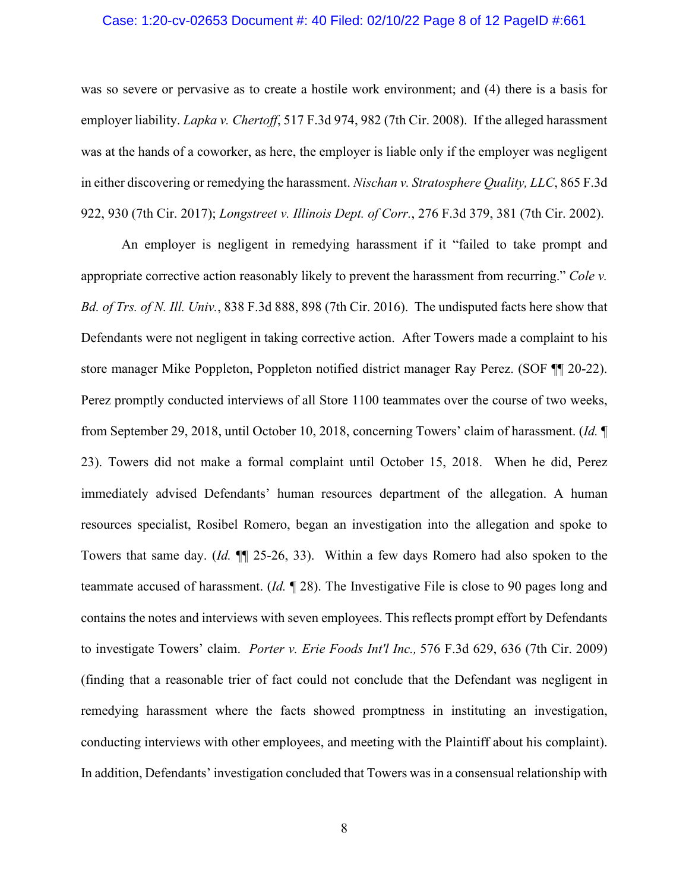# Case: 1:20-cv-02653 Document #: 40 Filed: 02/10/22 Page 8 of 12 PageID #:661

was so severe or pervasive as to create a hostile work environment; and (4) there is a basis for employer liability. *Lapka v. Chertoff*, 517 F.3d 974, 982 (7th Cir. 2008). If the alleged harassment was at the hands of a coworker, as here, the employer is liable only if the employer was negligent in either discovering or remedying the harassment. *[Nischan v. Stratosphere Quality, LLC](https://1.next.westlaw.com/Link/Document/FullText?findType=Y&serNum=2042293668&pubNum=0000506&originatingDoc=I78dd363044fd11eb8a6f9ded7b40efb4&refType=RP&fi=co_pp_sp_506_930&originationContext=document&transitionType=DocumentItem&ppcid=0edfd7f9a8c64e66b5e26c46b023a9b3&contextData=(sc.Default)#co_pp_sp_506_930)*, 865 F.3d [922, 930 \(7th Cir. 2017\);](https://1.next.westlaw.com/Link/Document/FullText?findType=Y&serNum=2042293668&pubNum=0000506&originatingDoc=I78dd363044fd11eb8a6f9ded7b40efb4&refType=RP&fi=co_pp_sp_506_930&originationContext=document&transitionType=DocumentItem&ppcid=0edfd7f9a8c64e66b5e26c46b023a9b3&contextData=(sc.Default)#co_pp_sp_506_930) *Longstreet v. Illinois Dept. of Corr.*, 276 F.3d 379, 381 (7th Cir. 2002).

An employer is negligent in remedying harassment if it "failed to take prompt and appropriate corrective action reasonably likely to prevent the harassment from recurring." *Cole v. Bd. of Trs. of N. Ill. Univ.*, 838 F.3d 888, 898 (7th Cir. 2016). The undisputed facts here show that Defendants were not negligent in taking corrective action. After Towers made a complaint to his store manager Mike Poppleton, Poppleton notified district manager Ray Perez. (SOF ¶¶ 20-22). Perez promptly conducted interviews of all Store 1100 teammates over the course of two weeks, from September 29, 2018, until October 10, 2018, concerning Towers' claim of harassment. (*Id.* ¶ 23). Towers did not make a formal complaint until October 15, 2018. When he did, Perez immediately advised Defendants' human resources department of the allegation. A human resources specialist, Rosibel Romero, began an investigation into the allegation and spoke to Towers that same day. (*Id.* ¶¶ 25-26, 33). Within a few days Romero had also spoken to the teammate accused of harassment. (*Id.* ¶ 28). The Investigative File is close to 90 pages long and contains the notes and interviews with seven employees. This reflects prompt effort by Defendants to investigate Towers' claim. *Porter v. Erie Foods Int'l Inc.,* 576 F.3d 629, 636 (7th Cir. 2009) (finding that a reasonable trier of fact could not conclude that the Defendant was negligent in remedying harassment where the facts showed promptness in instituting an investigation, conducting interviews with other employees, and meeting with the Plaintiff about his complaint). In addition, Defendants' investigation concluded that Towers was in a consensual relationship with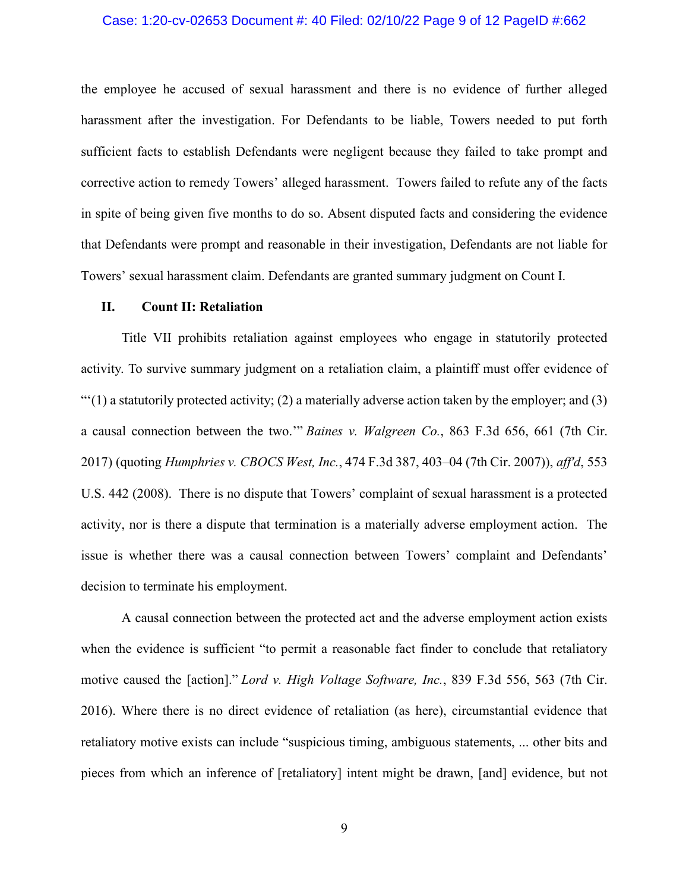# Case: 1:20-cv-02653 Document #: 40 Filed: 02/10/22 Page 9 of 12 PageID #:662

the employee he accused of sexual harassment and there is no evidence of further alleged harassment after the investigation. For Defendants to be liable, Towers needed to put forth sufficient facts to establish Defendants were negligent because they failed to take prompt and corrective action to remedy Towers' alleged harassment. Towers failed to refute any of the facts in spite of being given five months to do so. Absent disputed facts and considering the evidence that Defendants were prompt and reasonable in their investigation, Defendants are not liable for Towers' sexual harassment claim. Defendants are granted summary judgment on Count I.

# **II. Count II: Retaliation**

Title VII prohibits retaliation against employees who engage in statutorily protected activity. To survive summary judgment on a retaliation claim, a plaintiff must offer evidence of  $\lq(1)$  a statutorily protected activity; (2) a materially adverse action taken by the employer; and (3) a causal connection between the two.'" *Baines v. [Walgreen](https://1.next.westlaw.com/Link/Document/FullText?findType=Y&serNum=2042149162&pubNum=0000506&originatingDoc=I2118c430057011eca252cc4b553ce53c&refType=RP&fi=co_pp_sp_506_661&originationContext=document&transitionType=DocumentItem&ppcid=73ef4e1bdeca46e78d39e1070406f721&contextData=(sc.Search)#co_pp_sp_506_661) Co.*, 863 F.3d 656, 661 (7th Cir. [2017\)](https://1.next.westlaw.com/Link/Document/FullText?findType=Y&serNum=2042149162&pubNum=0000506&originatingDoc=I2118c430057011eca252cc4b553ce53c&refType=RP&fi=co_pp_sp_506_661&originationContext=document&transitionType=DocumentItem&ppcid=73ef4e1bdeca46e78d39e1070406f721&contextData=(sc.Search)#co_pp_sp_506_661) (quoting *[Humphries](https://1.next.westlaw.com/Link/Document/FullText?findType=Y&serNum=2011154796&pubNum=0000506&originatingDoc=I2118c430057011eca252cc4b553ce53c&refType=RP&fi=co_pp_sp_506_403&originationContext=document&transitionType=DocumentItem&ppcid=73ef4e1bdeca46e78d39e1070406f721&contextData=(sc.Search)#co_pp_sp_506_403) v. CBOCS West, Inc.*, 474 F.3d 387, 403–04 (7th Cir. 2007)), *aff'd*, [553](https://1.next.westlaw.com/Link/Document/FullText?findType=Y&serNum=2016176832&pubNum=0000780&originatingDoc=I2118c430057011eca252cc4b553ce53c&refType=RP&originationContext=document&transitionType=DocumentItem&ppcid=73ef4e1bdeca46e78d39e1070406f721&contextData=(sc.Search)) U.S. 442 [\(2008\).](https://1.next.westlaw.com/Link/Document/FullText?findType=Y&serNum=2016176832&pubNum=0000780&originatingDoc=I2118c430057011eca252cc4b553ce53c&refType=RP&originationContext=document&transitionType=DocumentItem&ppcid=73ef4e1bdeca46e78d39e1070406f721&contextData=(sc.Search)) There is no dispute that Towers' complaint of sexual harassment is a protected activity, nor is there a dispute that termination is a materially adverse employment action. The issue is whether there was a causal connection between Towers' complaint and Defendants' decision to terminate his employment.

A causal connection between the protected act and the adverse employment action exists when the evidence is sufficient "to permit a reasonable fact finder to conclude that retaliatory motive caused the [action]." *Lord v. High Voltage Software, Inc.*, 839 F.3d 556, 563 (7th Cir. 2016). Where there is no direct evidence of retaliation (as here), circumstantial evidence that retaliatory motive exists can include "suspicious timing, ambiguous statements, ... other bits and pieces from which an inference of [retaliatory] intent might be drawn, [and] evidence, but not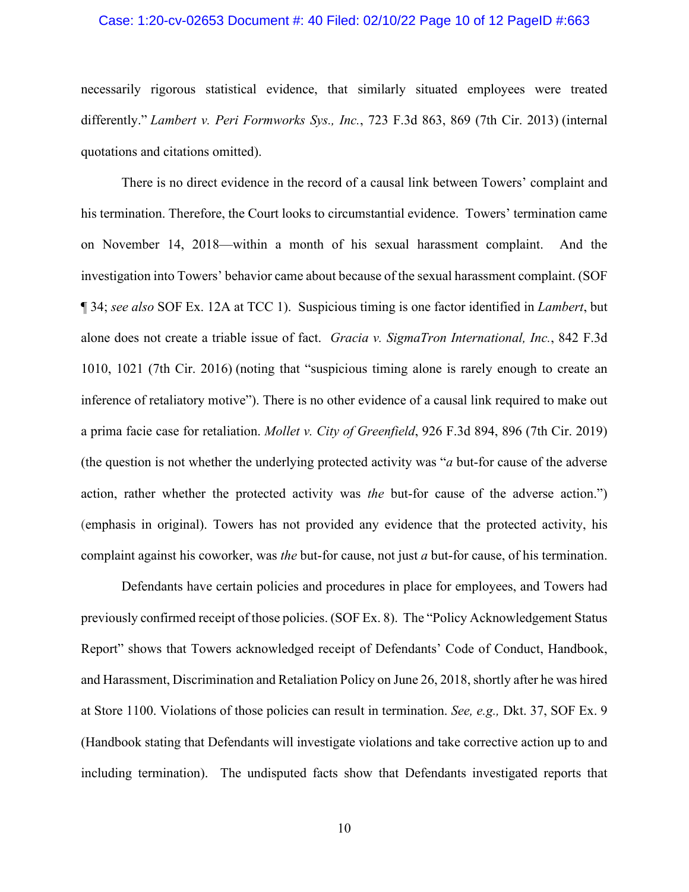# Case: 1:20-cv-02653 Document #: 40 Filed: 02/10/22 Page 10 of 12 PageID #:663

necessarily rigorous statistical evidence, that similarly situated employees were treated differently." *Lambert v. Peri Formworks Sys., Inc.*, 723 F.3d 863, 869 (7th Cir. 2013) (internal quotations and citations omitted).

There is no direct evidence in the record of a causal link between Towers' complaint and his termination. Therefore, the Court looks to circumstantial evidence. Towers' termination came on November 14, 2018—within a month of his sexual harassment complaint. And the investigation into Towers' behavior came about because of the sexual harassment complaint. (SOF ¶ 34; *see also* SOF Ex. 12A at TCC 1). Suspicious timing is one factor identified in *Lambert*, but alone does not create a triable issue of fact. *Gracia v. SigmaTron [International,](https://1.next.westlaw.com/Link/Document/FullText?findType=Y&serNum=2040400354&pubNum=0000506&originatingDoc=I639e60308e1211e9a3ecec4a01914b9c&refType=RP&fi=co_pp_sp_506_1021&originationContext=document&transitionType=DocumentItem&ppcid=53ca034b846b412b86775558623b9482&contextData=(sc.Default)#co_pp_sp_506_1021) Inc.*, 842 F.3d 1010, 1021 (7th Cir. [2016\)](https://1.next.westlaw.com/Link/Document/FullText?findType=Y&serNum=2040400354&pubNum=0000506&originatingDoc=I639e60308e1211e9a3ecec4a01914b9c&refType=RP&fi=co_pp_sp_506_1021&originationContext=document&transitionType=DocumentItem&ppcid=53ca034b846b412b86775558623b9482&contextData=(sc.Default)#co_pp_sp_506_1021) (noting that "suspicious timing alone is rarely enough to create an inference of retaliatory motive"). There is no other evidence of a causal link required to make out a prima facie case for retaliation. *Mollet v. City of Greenfield*, 926 F.3d 894, 896 (7th Cir. 2019) (the question is not whether the underlying protected activity was "*a* but-for cause of the adverse action, rather whether the protected activity was *the* but-for cause of the adverse action.") (emphasis in original). Towers has not provided any evidence that the protected activity, his complaint against his coworker, was *the* but-for cause, not just *a* but-for cause, of his termination.

Defendants have certain policies and procedures in place for employees, and Towers had previously confirmed receipt of those policies. (SOF Ex. 8). The "Policy Acknowledgement Status Report" shows that Towers acknowledged receipt of Defendants' Code of Conduct, Handbook, and Harassment, Discrimination and Retaliation Policy on June 26, 2018, shortly after he was hired at Store 1100. Violations of those policies can result in termination. *See, e.g.,* Dkt. 37, SOF Ex. 9 (Handbook stating that Defendants will investigate violations and take corrective action up to and including termination). The undisputed facts show that Defendants investigated reports that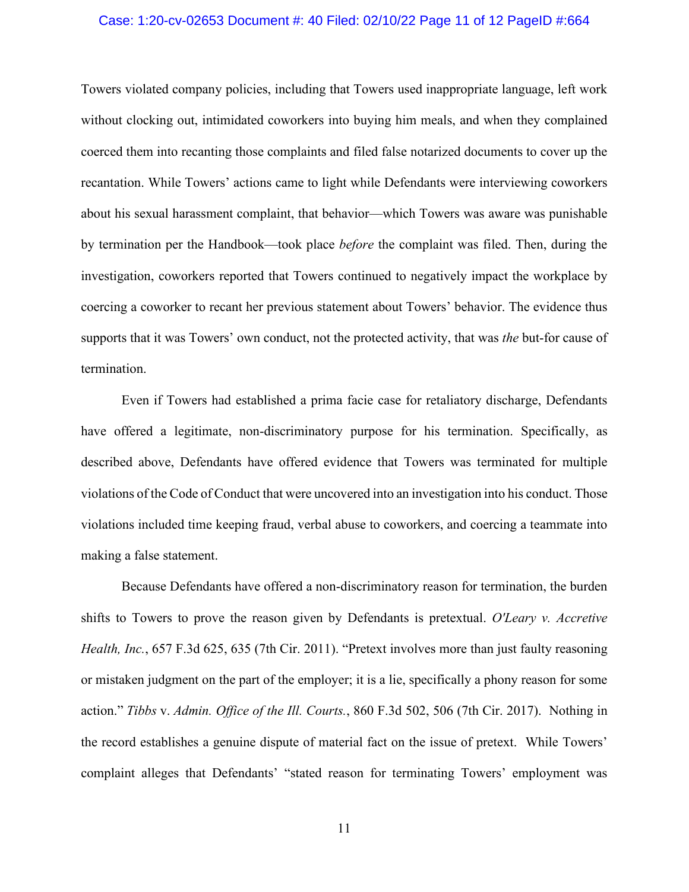# Case: 1:20-cv-02653 Document #: 40 Filed: 02/10/22 Page 11 of 12 PageID #:664

Towers violated company policies, including that Towers used inappropriate language, left work without clocking out, intimidated coworkers into buying him meals, and when they complained coerced them into recanting those complaints and filed false notarized documents to cover up the recantation. While Towers' actions came to light while Defendants were interviewing coworkers about his sexual harassment complaint, that behavior—which Towers was aware was punishable by termination per the Handbook—took place *before* the complaint was filed. Then, during the investigation, coworkers reported that Towers continued to negatively impact the workplace by coercing a coworker to recant her previous statement about Towers' behavior. The evidence thus supports that it was Towers' own conduct, not the protected activity, that was *the* but-for cause of termination.

Even if Towers had established a prima facie case for retaliatory discharge, Defendants have offered a legitimate, non-discriminatory purpose for his termination. Specifically, as described above, Defendants have offered evidence that Towers was terminated for multiple violations of the Code of Conduct that were uncovered into an investigation into his conduct. Those violations included time keeping fraud, verbal abuse to coworkers, and coercing a teammate into making a false statement.

Because Defendants have offered a non-discriminatory reason for termination, the burden shifts to Towers to prove the reason given by Defendants is pretextual. *O'Leary v. Accretive Health, Inc.*, 657 F.3d 625, 635 (7th Cir. 2011). "Pretext involves more than just faulty reasoning or mistaken judgment on the part of the employer; it is a lie, specifically a phony reason for some action." *Tibbs* v. *Admin. Office of the Ill. Courts.*, 860 F.3d 502, 506 (7th Cir. 2017). Nothing in the record establishes a genuine dispute of material fact on the issue of pretext. While Towers' complaint alleges that Defendants' "stated reason for terminating Towers' employment was